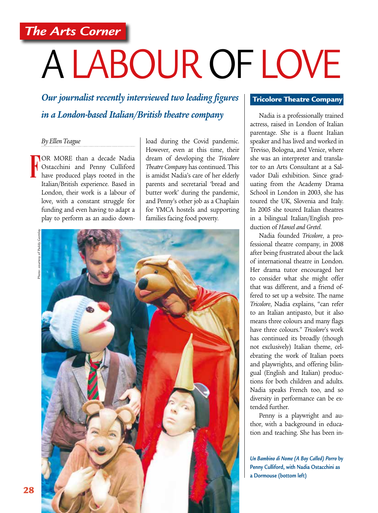*The Arts Corner*

# A LABOUR OF LOVE

*Our journalist recently interviewed two leading figures in a London-based Italian/British theatre company*

# *By Ellen Teague*

OR MORE than a decade Nadia Ostacchini and Penny Culliford have produced plays rooted in the Italian/British experience. Based in London, their work is a labour of love, with a constant struggle for funding and even having to adapt a play to perform as an audio down-**F**

load during the Covid pandemic. However, even at this time, their dream of developing the *Tricolore Theatre Company* has continued. This is amidst Nadia's care of her elderly parents and secretarial 'bread and butter work' during the pandemic, and Penny's other job as a Chaplain for YMCA hostels and supporting families facing food poverty.





#### Tricolore Theatre Company

Nadia is a professionally trained actress, raised in London of Italian parentage. She is a fluent Italian speaker and has lived and worked in Treviso, Bologna, and Venice, where she was an interpreter and translator to an Arts Consultant at a Salvador Dali exhibition. Since graduating from the Academy Drama School in London in 2003, she has toured the UK, Slovenia and Italy. In 2005 she toured Italian theatres in a bilingual Italian/English production of *Hansel and Gretel*.

Nadia founded *Tricolore*, a professional theatre company, in 2008 after being frustrated about the lack of international theatre in London. Her drama tutor encouraged her to consider what she might offer that was different, and a friend offered to set up a website. The name *Tricolore*, Nadia explains, "can refer to an Italian antipasto, but it also means three colours and many flags have three colours." *Tricolore*'s work has continued its broadly (though not exclusively) Italian theme, celebrating the work of Italian poets and playwrights, and offering bilingual (English and Italian) productions for both children and adults. Nadia speaks French too, and so diversity in performance can be extended further.

Penny is a playwright and author, with a background in education and teaching. She has been in-

*Un Bambino di Nome (A Boy Called) Porro* **by Penny Culliford, with Nadia Ostacchini as a Dormouse (bottom left)**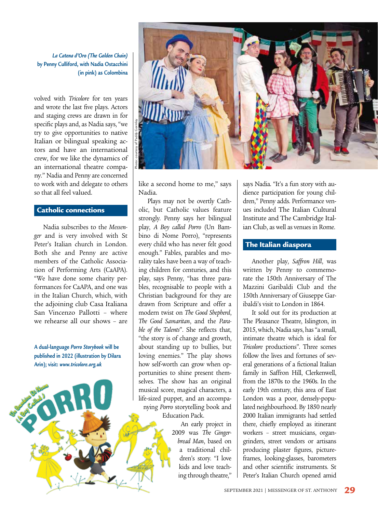*La Catena d'Oro (The Golden Chain)* **by Penny Culliford, with Nadia Ostacchini (in pink) as Colombina**

volved with *Tricolore* for ten years and wrote the last five plays. Actors and staging crews are drawn in for specific plays and, as Nadia says, "we try to give opportunities to native Italian or bilingual speaking actors and have an international crew, for we like the dynamics of an international theatre company." Nadia and Penny are concerned to work with and delegate to others so that all feel valued.

## Catholic connections

Nadia subscribes to the *Messenger* and is very involved with St Peter's Italian church in London. Both she and Penny are active members of the Catholic Association of Performing Arts (CaAPA). "We have done some charity performances for CaAPA, and one was in the Italian Church, which, with the adjoining club Casa Italiana San Vincenzo Pallotti – where we rehearse all our shows – are

**A dual-language** *Porro Storybook* **will be published in 2022 (illustration by Dilara Arin); visit:** *www.tricolore.org.uk*



like a second home to me," says Nadia.

Plays may not be overtly Catholic, but Catholic values feature strongly. Penny says her bilingual play, *A Boy called Porro* (Un Bambino di Nome Porro), "represents every child who has never felt good enough." Fables, parables and morality tales have been a way of teaching children for centuries, and this play, says Penny, "has three parables, recognisable to people with a Christian background for they are drawn from Scripture and offer a modern twist on *The Good Shepherd*, *The Good Samaritan*, and the *Parable of the Talents*". She reflects that, "the story is of change and growth, about standing up to bullies, but loving enemies." The play shows how self-worth can grow when opportunities to shine present themselves. The show has an original musical score, magical characters, a life-sized puppet, and an accompanying *Porro* storytelling book and Education Pack.

An early project in 2009 was *The Gingerbread Man*, based on a traditional children's story. "I love kids and love teaching through theatre,"

says Nadia. "It's a fun story with audience participation for young children," Penny adds. Performance venues included The Italian Cultural Institute and The Cambridge Italian Club, as well as venues in Rome.

# The Italian diaspora

Another play, *Saffron Hill*, was written by Penny to commemorate the 150th Anniversary of The Mazzini Garibaldi Club and the 150th Anniversary of Giuseppe Garibaldi's visit to London in 1864.

It sold out for its production at The Pleasance Theatre, Islington, in 2015, which, Nadia says, has "a small, intimate theatre which is ideal for *Tricolore* productions". Three scenes follow the lives and fortunes of several generations of a fictional Italian family in Saffron Hill, Clerkenwell, from the 1870s to the 1960s. In the early 19th century, this area of East London was a poor, densely-populated neighbourhood. By 1850 nearly 2000 Italian immigrants had settled there, chiefly employed as itinerant workers – street musicians, organgrinders, street vendors or artisans producing plaster figures, pictureframes, looking-glasses, barometers and other scientific instruments. St Peter's Italian Church opened amid